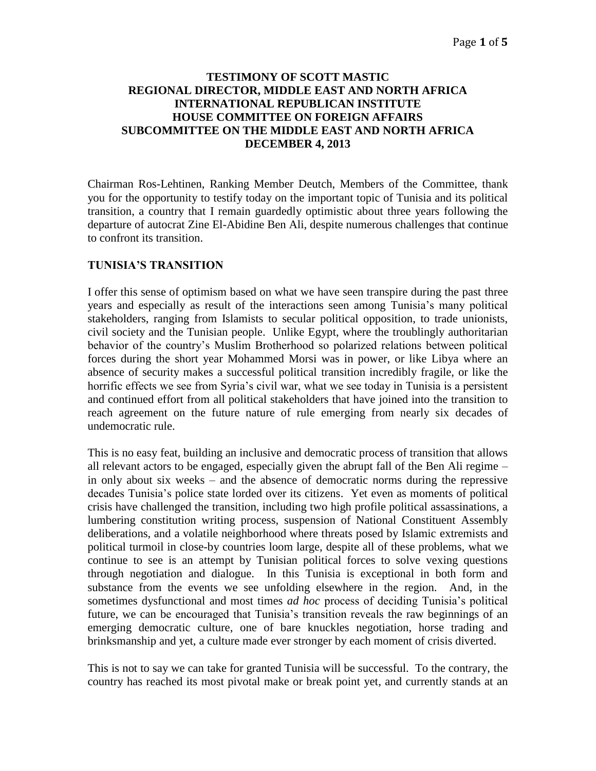## **TESTIMONY OF SCOTT MASTIC REGIONAL DIRECTOR, MIDDLE EAST AND NORTH AFRICA INTERNATIONAL REPUBLICAN INSTITUTE HOUSE COMMITTEE ON FOREIGN AFFAIRS SUBCOMMITTEE ON THE MIDDLE EAST AND NORTH AFRICA DECEMBER 4, 2013**

Chairman Ros-Lehtinen, Ranking Member Deutch, Members of the Committee, thank you for the opportunity to testify today on the important topic of Tunisia and its political transition, a country that I remain guardedly optimistic about three years following the departure of autocrat Zine El-Abidine Ben Ali, despite numerous challenges that continue to confront its transition.

## **TUNISIA'S TRANSITION**

I offer this sense of optimism based on what we have seen transpire during the past three years and especially as result of the interactions seen among Tunisia's many political stakeholders, ranging from Islamists to secular political opposition, to trade unionists, civil society and the Tunisian people. Unlike Egypt, where the troublingly authoritarian behavior of the country's Muslim Brotherhood so polarized relations between political forces during the short year Mohammed Morsi was in power, or like Libya where an absence of security makes a successful political transition incredibly fragile, or like the horrific effects we see from Syria's civil war, what we see today in Tunisia is a persistent and continued effort from all political stakeholders that have joined into the transition to reach agreement on the future nature of rule emerging from nearly six decades of undemocratic rule.

This is no easy feat, building an inclusive and democratic process of transition that allows all relevant actors to be engaged, especially given the abrupt fall of the Ben Ali regime – in only about six weeks – and the absence of democratic norms during the repressive decades Tunisia's police state lorded over its citizens. Yet even as moments of political crisis have challenged the transition, including two high profile political assassinations, a lumbering constitution writing process, suspension of National Constituent Assembly deliberations, and a volatile neighborhood where threats posed by Islamic extremists and political turmoil in close-by countries loom large, despite all of these problems, what we continue to see is an attempt by Tunisian political forces to solve vexing questions through negotiation and dialogue. In this Tunisia is exceptional in both form and substance from the events we see unfolding elsewhere in the region. And, in the sometimes dysfunctional and most times *ad hoc* process of deciding Tunisia's political future, we can be encouraged that Tunisia's transition reveals the raw beginnings of an emerging democratic culture, one of bare knuckles negotiation, horse trading and brinksmanship and yet, a culture made ever stronger by each moment of crisis diverted.

This is not to say we can take for granted Tunisia will be successful. To the contrary, the country has reached its most pivotal make or break point yet, and currently stands at an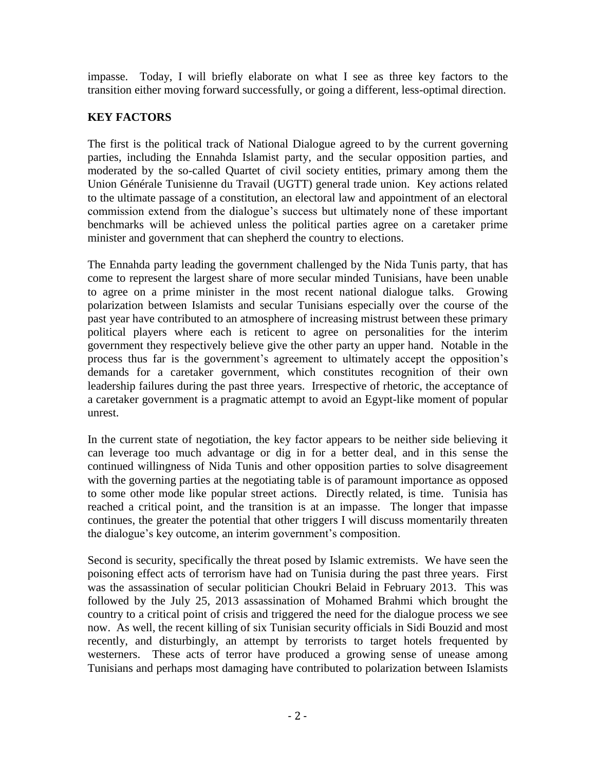impasse. Today, I will briefly elaborate on what I see as three key factors to the transition either moving forward successfully, or going a different, less-optimal direction.

# **KEY FACTORS**

The first is the political track of National Dialogue agreed to by the current governing parties, including the Ennahda Islamist party, and the secular opposition parties, and moderated by the so-called Quartet of civil society entities, primary among them the Union Générale Tunisienne du Travail (UGTT) general trade union. Key actions related to the ultimate passage of a constitution, an electoral law and appointment of an electoral commission extend from the dialogue's success but ultimately none of these important benchmarks will be achieved unless the political parties agree on a caretaker prime minister and government that can shepherd the country to elections.

The Ennahda party leading the government challenged by the Nida Tunis party, that has come to represent the largest share of more secular minded Tunisians, have been unable to agree on a prime minister in the most recent national dialogue talks. Growing polarization between Islamists and secular Tunisians especially over the course of the past year have contributed to an atmosphere of increasing mistrust between these primary political players where each is reticent to agree on personalities for the interim government they respectively believe give the other party an upper hand. Notable in the process thus far is the government's agreement to ultimately accept the opposition's demands for a caretaker government, which constitutes recognition of their own leadership failures during the past three years. Irrespective of rhetoric, the acceptance of a caretaker government is a pragmatic attempt to avoid an Egypt-like moment of popular unrest.

In the current state of negotiation, the key factor appears to be neither side believing it can leverage too much advantage or dig in for a better deal, and in this sense the continued willingness of Nida Tunis and other opposition parties to solve disagreement with the governing parties at the negotiating table is of paramount importance as opposed to some other mode like popular street actions. Directly related, is time. Tunisia has reached a critical point, and the transition is at an impasse. The longer that impasse continues, the greater the potential that other triggers I will discuss momentarily threaten the dialogue's key outcome, an interim government's composition.

Second is security, specifically the threat posed by Islamic extremists. We have seen the poisoning effect acts of terrorism have had on Tunisia during the past three years. First was the assassination of secular politician Choukri Belaid in February 2013. This was followed by the July 25, 2013 assassination of Mohamed Brahmi which brought the country to a critical point of crisis and triggered the need for the dialogue process we see now. As well, the recent killing of six Tunisian security officials in Sidi Bouzid and most recently, and disturbingly, an attempt by terrorists to target hotels frequented by westerners. These acts of terror have produced a growing sense of unease among Tunisians and perhaps most damaging have contributed to polarization between Islamists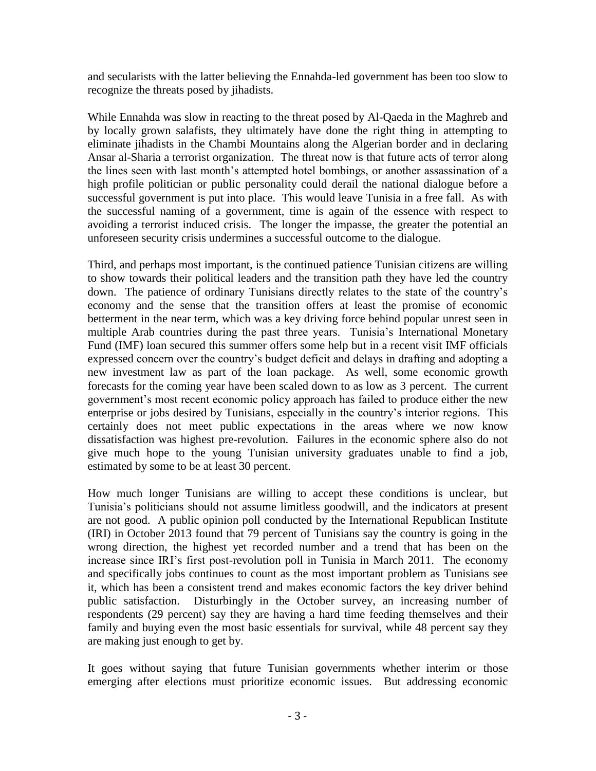and secularists with the latter believing the Ennahda-led government has been too slow to recognize the threats posed by jihadists.

While Ennahda was slow in reacting to the threat posed by Al-Qaeda in the Maghreb and by locally grown salafists, they ultimately have done the right thing in attempting to eliminate jihadists in the Chambi Mountains along the Algerian border and in declaring Ansar al-Sharia a terrorist organization. The threat now is that future acts of terror along the lines seen with last month's attempted hotel bombings, or another assassination of a high profile politician or public personality could derail the national dialogue before a successful government is put into place. This would leave Tunisia in a free fall. As with the successful naming of a government, time is again of the essence with respect to avoiding a terrorist induced crisis. The longer the impasse, the greater the potential an unforeseen security crisis undermines a successful outcome to the dialogue.

Third, and perhaps most important, is the continued patience Tunisian citizens are willing to show towards their political leaders and the transition path they have led the country down. The patience of ordinary Tunisians directly relates to the state of the country's economy and the sense that the transition offers at least the promise of economic betterment in the near term, which was a key driving force behind popular unrest seen in multiple Arab countries during the past three years. Tunisia's International Monetary Fund (IMF) loan secured this summer offers some help but in a recent visit IMF officials expressed concern over the country's budget deficit and delays in drafting and adopting a new investment law as part of the loan package. As well, some economic growth forecasts for the coming year have been scaled down to as low as 3 percent. The current government's most recent economic policy approach has failed to produce either the new enterprise or jobs desired by Tunisians, especially in the country's interior regions. This certainly does not meet public expectations in the areas where we now know dissatisfaction was highest pre-revolution. Failures in the economic sphere also do not give much hope to the young Tunisian university graduates unable to find a job, estimated by some to be at least 30 percent.

How much longer Tunisians are willing to accept these conditions is unclear, but Tunisia's politicians should not assume limitless goodwill, and the indicators at present are not good. A public opinion poll conducted by the International Republican Institute (IRI) in October 2013 found that 79 percent of Tunisians say the country is going in the wrong direction, the highest yet recorded number and a trend that has been on the increase since IRI's first post-revolution poll in Tunisia in March 2011. The economy and specifically jobs continues to count as the most important problem as Tunisians see it, which has been a consistent trend and makes economic factors the key driver behind public satisfaction. Disturbingly in the October survey, an increasing number of respondents (29 percent) say they are having a hard time feeding themselves and their family and buying even the most basic essentials for survival, while 48 percent say they are making just enough to get by.

It goes without saying that future Tunisian governments whether interim or those emerging after elections must prioritize economic issues. But addressing economic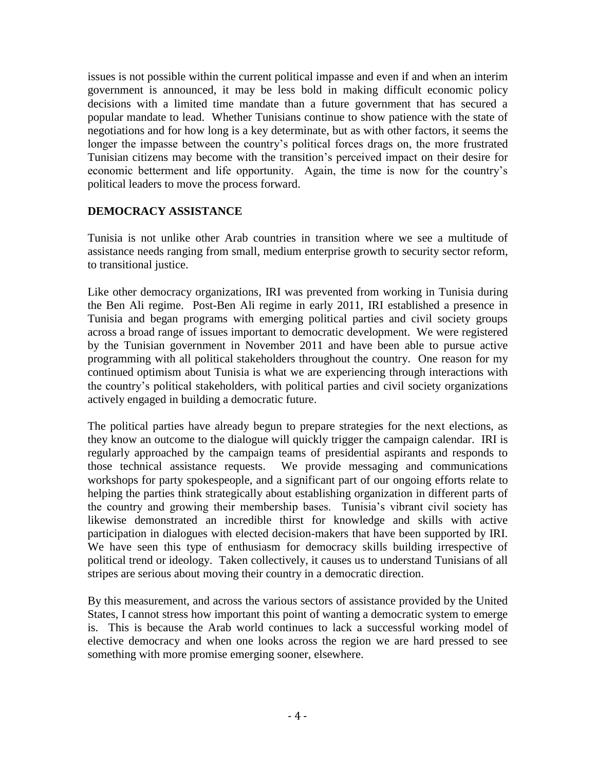issues is not possible within the current political impasse and even if and when an interim government is announced, it may be less bold in making difficult economic policy decisions with a limited time mandate than a future government that has secured a popular mandate to lead. Whether Tunisians continue to show patience with the state of negotiations and for how long is a key determinate, but as with other factors, it seems the longer the impasse between the country's political forces drags on, the more frustrated Tunisian citizens may become with the transition's perceived impact on their desire for economic betterment and life opportunity. Again, the time is now for the country's political leaders to move the process forward.

# **DEMOCRACY ASSISTANCE**

Tunisia is not unlike other Arab countries in transition where we see a multitude of assistance needs ranging from small, medium enterprise growth to security sector reform, to transitional justice.

Like other democracy organizations, IRI was prevented from working in Tunisia during the Ben Ali regime. Post-Ben Ali regime in early 2011, IRI established a presence in Tunisia and began programs with emerging political parties and civil society groups across a broad range of issues important to democratic development. We were registered by the Tunisian government in November 2011 and have been able to pursue active programming with all political stakeholders throughout the country. One reason for my continued optimism about Tunisia is what we are experiencing through interactions with the country's political stakeholders, with political parties and civil society organizations actively engaged in building a democratic future.

The political parties have already begun to prepare strategies for the next elections, as they know an outcome to the dialogue will quickly trigger the campaign calendar. IRI is regularly approached by the campaign teams of presidential aspirants and responds to those technical assistance requests. We provide messaging and communications workshops for party spokespeople, and a significant part of our ongoing efforts relate to helping the parties think strategically about establishing organization in different parts of the country and growing their membership bases. Tunisia's vibrant civil society has likewise demonstrated an incredible thirst for knowledge and skills with active participation in dialogues with elected decision-makers that have been supported by IRI. We have seen this type of enthusiasm for democracy skills building irrespective of political trend or ideology. Taken collectively, it causes us to understand Tunisians of all stripes are serious about moving their country in a democratic direction.

By this measurement, and across the various sectors of assistance provided by the United States, I cannot stress how important this point of wanting a democratic system to emerge is. This is because the Arab world continues to lack a successful working model of elective democracy and when one looks across the region we are hard pressed to see something with more promise emerging sooner, elsewhere.